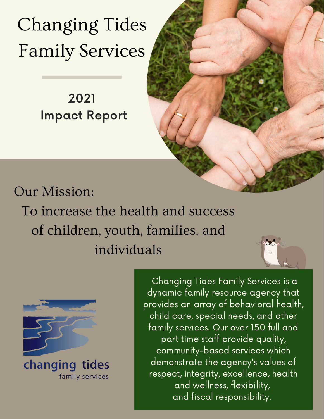Changing Tides Family Services

## 2021 Impact Report

## Our Mission:

To increase the health and success of children, youth, families, and individuals



changing tides family services

Changing Tides Family Services is a dynamic family resource agency that provides an array of behavioral health, child care, special needs, and other family services. Our over 150 full and part time staff provide quality, community-based services which demonstrate the agency's values of respect, integrity, excellence, health and wellness, flexibility, and fiscal responsibility.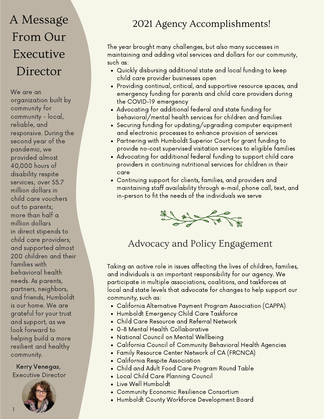## A Message From Our **Executive** Director

We are an organization built by community for community - local, reliable, and responsive. During the second year of the pandemic, we provided almost 40,000 hours of disability respite services; over \$5.7 million dollars in child care vouchers out to parents; more than half a million dollars in direct stipends to child care providers; and supported almost 200 children and their families with behavioral health needs. As parents, partners, neighbors, and friends, Humboldt is our home. We are grateful for your trust and support, as we look forward to helping build a more resilient and healthy community.

Kerry Venegas, Executive Director



## 2021 Agency Accomplishments!

The year brought many challenges, but also many successes in maintaining and adding vital services and dollars for our community, such as:

- Quickly disbursing additional state and local funding to keep child care provider businesses open
- Providing continual, critical, and supportive resource spaces, and emergency funding for parents and child care providers during the COVID-19 emergency
- Advocating for additional federal and state funding for behavioral/mental health services for children and families
- Securing funding for updating/upgrading computer equipment and electronic processes to enhance provision of services
- Partnering with Humboldt Superior Court for grant funding to provide no-cost supervised visitation services to eligible families
- Advocating for additional federal funding to support child care providers in continuing nutritional services for children in their care
- Continuing support for clients, families, and providers and maintaining staff availability through e-mail, phone call, text, and in-person to fit the needs of the individuals we serve



### Advocacy and Policy Engagement

Taking an active role in issues affecting the lives of children, families, and individuals is an important responsibility for our agency. We participate in multiple associations, coalitions, and taskforces at local and state levels that advocate for changes to help support our community, such as:

- California Alternative Payment Program Association (CAPPA)
- Humboldt Emergency Child Care Taskforce
- Child Care Resource and Referral Network
- 0-8 Mental Health Collaborative
- National Council on Mental Wellbeing
- California Council of Community Behavioral Health Agencies
- Family Resource Center Network of CA (FRCNCA)
- California Respite Association
- Child and Adult Food Care Program Round Table
- Local Child Care Planning Council
- Live Well Humboldt
- Community Economic Resilience Consortium
- Humboldt County Workforce Development Board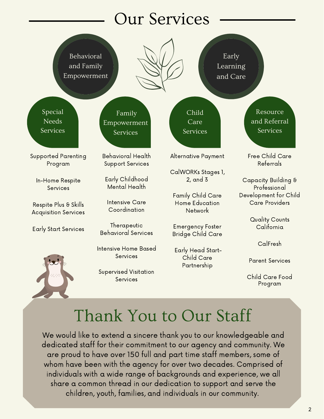# Our Services

Behavioral and Family Empowerment

Early Learning and Care

Special **Needs** Services

Empowerment Services

Supported Parenting Program

In-Home Respite **Services** 

Respite Plus & Skills Acquisition Services

Early Start Services



Behavioral Health Support Services

Family

Early Childhood Mental Health

Intensive Care Coordination

**Therapeutic** Behavioral Services

Intensive Home Based **Services** 

Supervised Visitation **Services** 

Alternative Payment

Child Care Services

CalWORKs Stages 1, 2, and 3

Family Child Care Home Education Network

Emergency Foster Bridge Child Care

Early Head Start-Child Care Partnership

Resource and Referral Services

Free Child Care Referrals

Capacity Building & Professional Development for Child Care Providers

> Quality Counts California

> > CalFresh

Parent Services

Child Care Food Program

## Thank You to Our Staff

We would like to extend a sincere thank you to our knowledgeable and dedicated staff for their commitment to our agency and community. We are proud to have over 150 full and part time staff members, some of whom have been with the agency for over two decades. Comprised of individuals with a wide range of backgrounds and experience, we all share a common thread in our dedication to support and serve the children, youth, families, and individuals in our community.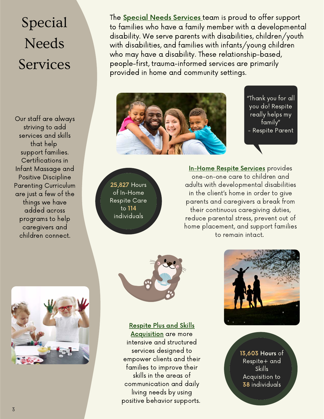# Special **Needs** Services

Our staff are always striving to add services and skills that help support families. Certifications in Infant Massage and Positive Discipline Parenting Curriculum are just a few of the things we have added across programs to help caregivers and children connect.

The **Special Needs Services** team is proud to offer support to families who have a family member with a developmental disability. We serve parents with disabilities, children/youth with disabilities, and families with infants/young children who may have a disability. These relationship-based, people-first, trauma-informed services are primarily provided in home and community settings.



"Thank you for all you do! Respite really helps my family" - Respite Parent

25,827 Hours of In-Home Respite Care to 114 individuals

In-Home Respite Services provides one-on-one care to children and adults with developmental disabilities in the client's home in order to give parents and caregivers a break from their continuous caregiving duties, reduce parental stress, prevent out of home placement, and support families to remain intact.



Respite Plus and Skills

Acquisition are more intensive and structured services designed to empower clients and their families to improve their skills in the areas of communication and daily living needs by using positive behavior supports.



13,603 Hours of Respite+ and Skills Acquisition to 38 individuals

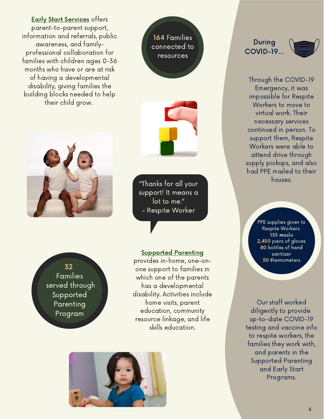#### **Early Start Services** offers

parent-to-parent support, information and referrals, public awareness, and familyprofessional collaboration for families with children ages 0-36 months who have or are at risk of having a developmental disability, giving families the building blocks needed to help their child grow.







"Thanks for all your support! It means a lot to me." - Respite Worker

32 Families served through Supported Parenting Program

#### Supported Parenting

provides in-home, one-onone support to families in which one of the parents has a developmental disability. Activities include home visits, parent education, community resource linkage, and life skills education.



#### During COVID-19...



Through the COVID-19 Emergency, it was impossible for Respite Workers to move to virtual work. Their necessary services continued in person. To support them, Respite Workers were able to attend drive through supply pickups, and also had PPE mailed to their houses.

> PPE supplies given to Respite Workers: 135 masks 2,450 pairs of gloves 80 bottles of hand sanitizer 50 themometers

Our staff worked diligently to provide up-to-date COVID-19 testing and vaccine info to respite workers, the families they work with, and parents in the Supported Parenting and Early Start Programs.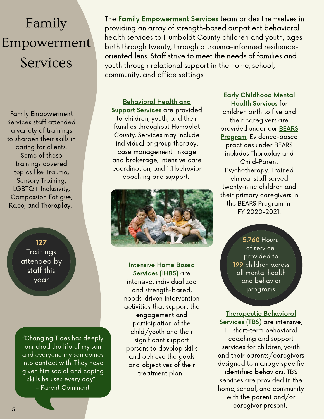# Family Empowerment Services

Family Empowerment Services staff attended a variety of trainings to sharpen their skills in caring for clients. Some of these trainings covered topics like Trauma, Sensory Training, LGBTQ+ Inclusivity, Compassion Fatigue, Race, and Theraplay.

> 127 Trainings attended by staff this year

"Changing Tides has deeply enriched the life of my son and everyone my son comes into contact with. They have given him social and coping skills he uses every day". - Parent Comment

The **Family Empowerment Services** team prides themselves in providing an array of strength-based outpatient behavioral health services to Humboldt County children and youth, ages birth through twenty, through a trauma-informed resilienceoriented lens. Staff strive to meet the needs of families and youth through relational support in the home, school, community, and office settings.

Behavioral Health and Support Services are provided to children, youth, and their families throughout Humboldt County. Services may include individual or group therapy, case management linkage and brokerage, intensive care coordination, and 1:1 behavior coaching and support.



Intensive Home Based

Services (IHBS) are intensive, individualized and strength-based, needs-driven intervention activities that support the engagement and participation of the child/youth and their significant support persons to develop skills and achieve the goals and objectives of their treatment plan.

Early Childhood Mental Health Services for children birth to five and their caregivers are provided under our BEARS Program. Evidence-based practices under BEARS includes Theraplay and Child-Parent Psychotherapy. Trained clinical staff served twenty-nine children and their primary caregivers in the BEARS Program in FY 2020-2021.

> 5,760 Hours of service provided to 199 children across all mental health and behavior programs

Therapeutic Behavioral Services (TBS) are intensive, 1:1 short-term behavioral coaching and support services for children, youth and their parents/caregivers designed to manage specific identified behaviors. TBS services are provided in the home, school, and community with the parent and/or caregiver present.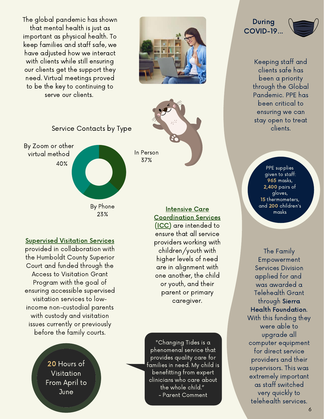The global pandemic has shown that mental health is just as important as physical health. To keep families and staff safe, we have adjusted how we interact with clients while still ensuring our clients get the support they need. Virtual meetings proved to be the key to continuing to serve our clients.





37%

Service Contacts by Type



Supervised Visitation Services

provided in collaboration with the Humboldt County Superior Court and funded through the Access to Visitation Grant Program with the goal of ensuring accessible supervised visitation services to lowincome non-custodial parents with custody and visitation issues currently or previously before the family courts.

> 20 Hours of Visitation From April to **June**

Intensive Care Coordination Services (ICC) are intended to ensure that all service providers working with children/youth with higher levels of need are in alignment with one another, the child or youth, and their parent or primary caregiver.

"Changing Tides is a phenomenal service that provides quality care for families in need. My child is benefitting from expert clinicians who care about the whole child." - Parent Comment

During COVID-19...

> Keeping staff and clients safe has been a priority through the Global Pandemic. PPE has been critical to ensuring we can stay open to treat clients.

> > PPE supplies given to staff: 965 masks, 2,400 pairs of gloves, 15 thermometers, and 200 children's masks

The Family Empowerment Services Division applied for and was awarded a Telehealth Grant through Sierra Health Foundation. With this funding they were able to upgrade all computer equipment for direct service providers and their supervisors. This was extremely important as staff switched very quickly to telehealth services.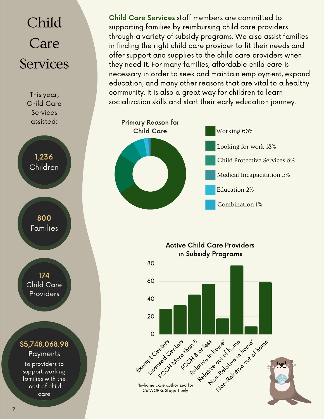# Child Care Services

This year, Child Care Services assisted:

1,236 Children

> 800 Families

174 Child Care Providers

### \$5,748,068.98 **Payments**

to providers to support working families with the cost of child care

Child Care Services staff members are committed to supporting families by reimbursing child care providers through a variety of subsidy programs. We also assist families in finding the right child care provider to fit their needs and offer support and supplies to the child care providers when they need it. For many families, affordable child care is necessary in order to seek and maintain employment, expand education, and many other reasons that are vital to a healthy community. It is also a great way for children to learn socialization skills and start their early education journey.



Active Child Care Providers in Subsidy Programs

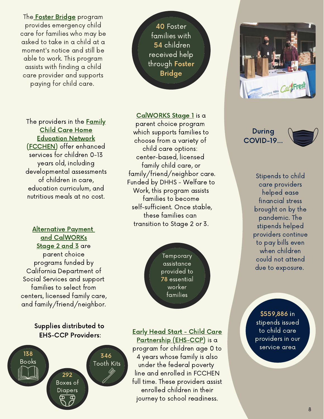The **Foster Bridge** program provides emergency child care for families who may be asked to take in a child at a moment's notice and still be able to work. This program assists with finding a child care provider and supports paying for child care.

The providers in the **Family** Child Care Home Education Network (FCCHEN) offer enhanced services for children 0-13 years old, including developmental assessments of children in care, education curriculum, and nutritious meals at no cost.

Alternative Payment and CalWORKs Stage 2 and 3 are parent choice programs funded by California Department of Social Services and support families to select from centers, licensed family care, and family/friend/neighbor.

#### Supplies distributed to EHS-CCP Providers:



40 Foster families with 54 children received help through Foster Bridge

#### CalWORKS Stage 1 is a

parent choice program which supports families to choose from a variety of child care options: center-based, licensed family child care, or family/friend/neighbor care. Funded by DHHS - Welfare to Work, this program assists families to become self-sufficient. Once stable, these families can transition to Stage 2 or 3.

> Temporary assistance provided to 78 essential worker families

#### Early Head Start - Child Care

Partnership (EHS-CCP) is a program for children age 0 to 4 years whose family is also under the federal poverty line and enrolled in FCCHEN full time. These providers assist enrolled children in their journey to school readiness.



### During COVID-19...

Stipends to child care providers helped ease financial stress brought on by the pandemic. The stipends helped providers continue to pay bills even when children could not attend due to exposure.

\$559,886 in stipends issued to child care providers in our service area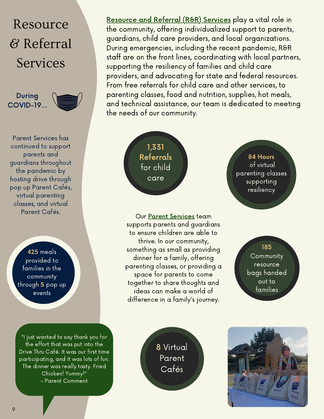## Resource & Referral Services

During COVID-19...



Parent Services has continued to support parents and guardians throughout the pandemic by hosting drive through pop up Parent Cafés, virtual parenting classes, and virtual Parent Cafés.

> 425 meals provided to families in the community through 5 pop up events

"I just wanted to say thank you for the effort that was put into the Drive Thru Café. It was our first time participating, and it was lots of fun. The dinner was really tasty. Fried Chicken! Yummy!" - Parent Comment

Resource and Referral (R&R) Services play a vital role in the community, offering individualized support to parents, guardians, child care providers, and local organizations. During emergencies, including the recent pandemic, R&R staff are on the front lines, coordinating with local partners, supporting the resiliency of families and child care providers, and advocating for state and federal resources. From free referrals for child care and other services, to parenting classes, food and nutrition, supplies, hot meals, and technical assistance, our team is dedicated to meeting the needs of our community.

> 1,331 Referrals for child care

Our Parent Services team supports parents and guardians to ensure children are able to thrive. In our community, something as small as providing dinner for a family, offering parenting classes, or providing a space for parents to come together to share thoughts and ideas can make a world of difference in a family's journey.

84 Hours of virtual parenting classes supporting resiliency

> 185 **Community** resource bags handed out to families

8 Virtual Parent Cafés

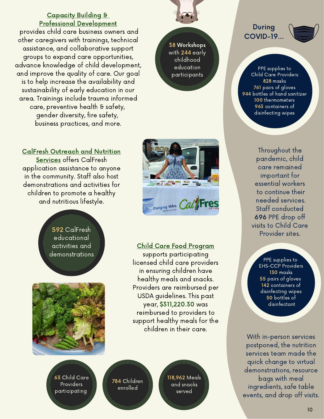#### Capacity Building & Professional Development

provides child care business owners and other caregivers with trainings, technical assistance, and collaborative support groups to expand care opportunities, advance knowledge of child development, and improve the quality of care. Our goal is to help increase the availability and sustainability of early education in our area. Trainings include trauma informed care, preventive health & safety, gender diversity, fire safety, business practices, and more.



592 CalFresh educational activities and demonstrations





with 244 early childhood education participants



Child Care Food Program

supports participating licensed child care providers in ensuring children have healthy meals and snacks. Providers are reimbursed per USDA guidelines. This past year, \$311,220.30 was reimbursed to providers to support healthy meals for the children in their care.

63 Child Care **Providers** participating

784 Children enrolled

118,962 Meals and snacks served

During COVID-19...

PPE supplies to Child Care Providers: 828 masks 761 pairs of gloves 944 bottles of hand sanitizer 100 thermometers 963 containers of disinfecting wipes

> Throughout the pandemic, child care remained important for essential workers to continue their needed services. Staff conducted 696 PPE drop off visits to Child Care Provider sites.

> > PPE supplies to EHS-CCP Providers 130 masks 55 pairs of gloves 142 containers of disinfecting wipes 50 bottles of disinfectant

With in-person services postponed, the nutrition services team made the quick change to virtual demonstrations, resource bags with meal ingredients, safe table events, and drop off visits.